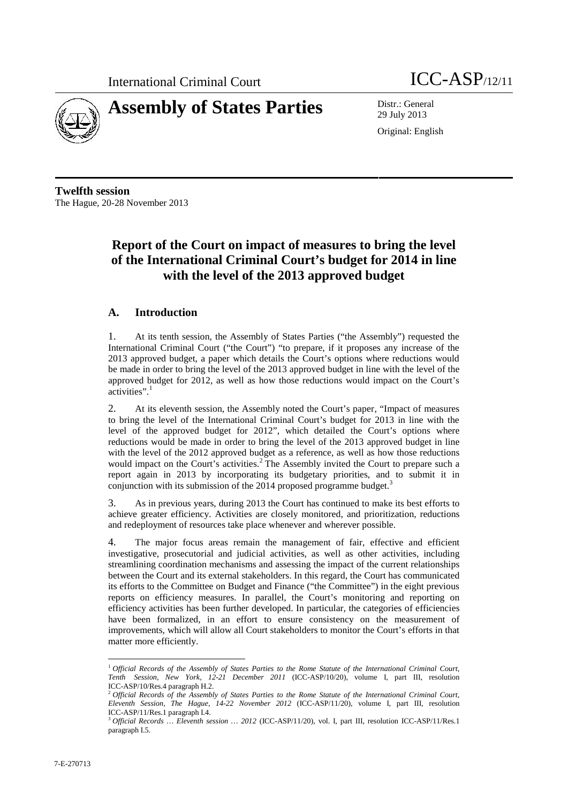



29 July 2013

Original: English

**Twelfth session** The Hague, 20-28 November 2013

# **Report of the Court on impact of measures to bring the level of the International Criminal Court's budget for 2014 in line with the level of the 2013 approved budget**

## **A. Introduction**

1. At its tenth session, the Assembly of States Parties ("the Assembly") requested the International Criminal Court ("the Court") "to prepare, if it proposes any increase of the 2013 approved budget, a paper which details the Court's options where reductions would be made in order to bring the level of the 2013 approved budget in line with the level of the approved budget for 2012, as well as how those reductions would impact on the Court's activities".<sup>1</sup>

2. At its eleventh session, the Assembly noted the Court's paper, "Impact of measures to bring the level of the International Criminal Court's budget for 2013 in line with the level of the approved budget for 2012", which detailed the Court's options where reductions would be made in order to bring the level of the 2013 approved budget in line with the level of the 2012 approved budget as a reference, as well as how those reductions would impact on the Court's activities.<sup>2</sup> The Assembly invited the Court to prepare such a report again in 2013 by incorporating its budgetary priorities, and to submit it in conjunction with its submission of the 2014 proposed programme budget.<sup>3</sup>

3. As in previous years, during 2013 the Court has continued to make its best efforts to achieve greater efficiency. Activities are closely monitored, and prioritization, reductions and redeployment of resources take place whenever and wherever possible.

4. The major focus areas remain the management of fair, effective and efficient investigative, prosecutorial and judicial activities, as well as other activities, including streamlining coordination mechanisms and assessing the impact of the current relationships between the Court and its external stakeholders. In this regard, the Court has communicated its efforts to the Committee on Budget and Finance ("the Committee") in the eight previous reports on efficiency measures. In parallel, the Court's monitoring and reporting on efficiency activities has been further developed. In particular, the categories of efficiencies have been formalized, in an effort to ensure consistency on the measurement of improvements, which will allow all Court stakeholders to monitor the Court's efforts in that matter more efficiently.

<sup>1</sup> *Official Records of the Assembly of States Parties to the Rome Statute of the International Criminal Court, Tenth Session, New York, 12-21 December 2011* (ICC-ASP/10/20), volume I, part III, resolution ICC-ASP/10/Res.4 paragraph H.2.

<sup>2</sup> *Official Records of the Assembly of States Parties to the Rome Statute of the International Criminal Court, Eleventh Session, The Hague, 14-22 November 2012* (ICC-ASP/11/20), volume I, part III, resolution ICC-ASP/11/Res.1 paragraph I.4.

<sup>3</sup> *Official Records … Eleventh session … 2012* (ICC-ASP/11/20), vol. I, part III, resolution ICC-ASP/11/Res.1 paragraph I.5*.*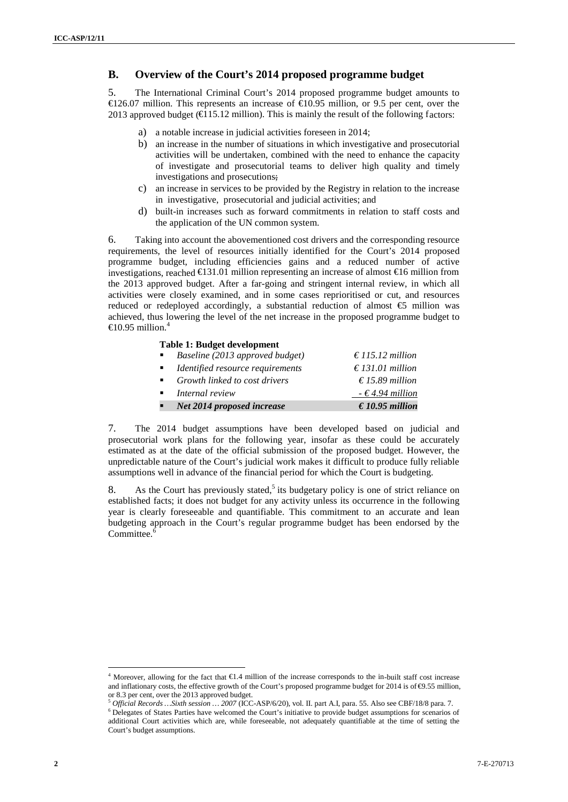### **B. Overview of the Court's 2014 proposed programme budget**

5. The International Criminal Court's 2014 proposed programme budget amounts to €126.07 million. This represents an increase of €10.95 million, or 9.5 per cent, over the 2013 approved budget ( $\in$ 15.12 million). This is mainly the result of the following factors:

- a) a notable increase in judicial activities foreseen in 2014;
- b) an increase in the number of situations in which investigative and prosecutorial activities will be undertaken, combined with the need to enhance the capacity of investigate and prosecutorial teams to deliver high quality and timely investigations and prosecutions;
- c) an increase in services to be provided by the Registry in relation to the increase in investigative, prosecutorial and judicial activities; and
- d) built-in increases such as forward commitments in relation to staff costs and the application of the UN common system.

**<sup>2</sup>** 7-E-270713 **ICC-ASP/10/20** 6. Taking into account the abovementioned cost drivers and the corresponding resource requirements, the level of resources initially identified for the Court's 2014 proposed programme budget, including efficiencies gains and a reduced number of active investigations, reached €131.01 million representing an increase of almost €16 million from the 2013 approved budget. After a far-going and stringent internal review, in which all activities were closely examined, and in some cases reprioritised or cut, and resources reduced or redeployed accordingly, a substantial reduction of almost  $\epsilon$  million was achieved, thus lowering the level of the net increase in the proposed programme budget to  $\triangleleft$  0.95 million.<sup>4</sup>

#### **Table 1: Budget development**

| $\mathbf{r}$              | Net 2014 proposed increase                   | € 10.95 million           |
|---------------------------|----------------------------------------------|---------------------------|
|                           | $\blacksquare$ Internal review               | $-$ € 4.94 million        |
|                           | $\blacksquare$ Growth linked to cost drivers | $\epsilon$ 15.89 million  |
| $\mathbf{H}^{\text{max}}$ | Identified resource requirements             | $\epsilon$ 131.01 million |
| $\blacksquare$            | Baseline (2013 approved budget)              | $\epsilon$ 115.12 million |

7. The 2014 budget assumptions have been developed based on judicial and prosecutorial work plans for the following year, insofar as these could be accurately estimated as at the date of the official submission of the proposed budget. However, the unpredictable nature of the Court's judicial work makes it difficult to produce fully reliable assumptions well in advance of the financial period for which the Court is budgeting.

8. As the Court has previously stated,<sup>5</sup> its budgetary policy is one of strict reliance on established facts; it does not budget for any activity unless its occurrence in the following year is clearly foreseeable and quantifiable. This commitment to an accurate and lean budgeting approach in the Court's regular programme budget has been endorsed by the Committee.

<sup>4</sup> Moreover, allowing for the fact that €1.4 million of the increase corresponds to the in-built staff cost increase and inflationary costs, the effective growth of the Court's proposed programme budget for  $2014$  is of  $\Theta$ .55 million,

or 8.3 per cent, over the 2013 approved budget.<br>
<sup>5</sup> Official Records ... Sixth session ... 2007 (ICC-ASP/6/20), vol. II. part A.I, para. 55. Also see CBF/18/8 para. 7.<br>
<sup>6</sup> Delegates of States Parties have welcomed the C additional Court activities which are, while foreseeable, not adequately quantifiable at the time of setting the Court's budget assumptions.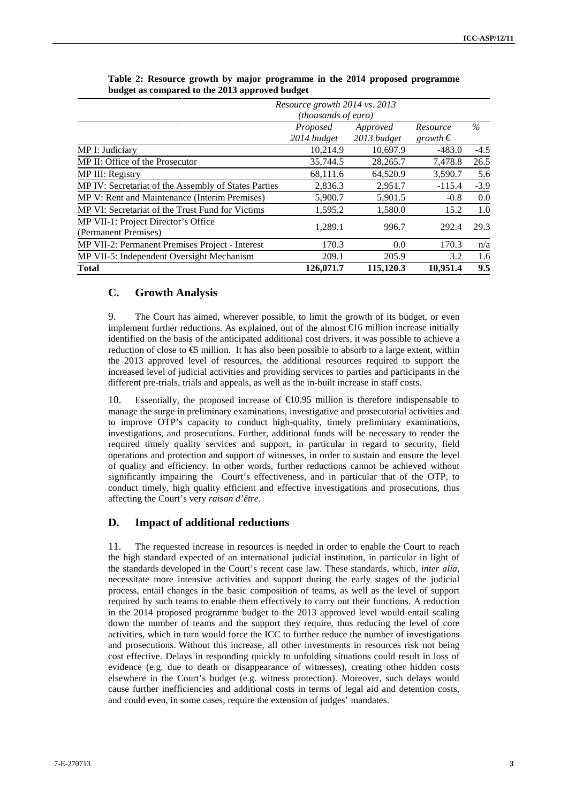|                                                      | Resource growth 2014 vs. 2013<br>(thousands of euro) |             |                   |        |
|------------------------------------------------------|------------------------------------------------------|-------------|-------------------|--------|
|                                                      |                                                      |             |                   |        |
|                                                      | Proposed                                             | Approved    | Resource          | $\%$   |
|                                                      | 2014 budget                                          | 2013 budget | growth $\epsilon$ |        |
| MP I: Judiciary                                      | 10,214.9                                             | 10,697.9    | $-483.0$          | $-4.5$ |
| MP II: Office of the Prosecutor                      | 35,744.5                                             | 28,265.7    | 7,478.8           | 26.5   |
| MP III: Registry                                     | 68,111.6                                             | 64,520.9    | 3,590.7           | 5.6    |
| MP IV: Secretariat of the Assembly of States Parties | 2,836.3                                              | 2,951.7     | $-115.4$          | $-3.9$ |
| MP V: Rent and Maintenance (Interim Premises)        | 5,900.7                                              | 5,901.5     | $-0.8$            | 0.0    |
| MP VI: Secretariat of the Trust Fund for Victims     | 1,595.2                                              | 1,580.0     | 15.2              | 1.0    |
| MP VII-1: Project Director's Office                  | 1.289.1                                              | 996.7       | 292.4             | 29.3   |
| (Permanent Premises)                                 |                                                      |             |                   |        |
| MP VII-2: Permanent Premises Project - Interest      | 170.3                                                | 0.0         | 170.3             | n/a    |
| MP VII-5: Independent Oversight Mechanism            | 209.1                                                | 205.9       | 3.2               | 1.6    |
| <b>Total</b>                                         | 126,071.7                                            | 115,120.3   | 10.951.4          | 9.5    |

**Table 2: Resource growth by major programme in the 2014 proposed programme budget as compared to the 2013 approved budget**

#### **C. Growth Analysis**

9. The Court has aimed, wherever possible, to limit the growth of its budget, or even implement further reductions. As explained, out of the almost €16 million increase initially identified on the basis of the anticipated additional cost drivers, it was possible to achieve a reduction of close to  $\epsilon$  million. It has also been possible to absorb to a large extent, within the 2013 approved level of resources, the additional resources required to support the increased level of judicial activities and providing services to parties and participants in the different pre-trials, trials and appeals, as well as the in-built increase in staff costs.

10. Essentially, the proposed increase of  $\epsilon$ 10.95 million is therefore indispensable to manage the surge in preliminary examinations, investigative and prosecutorial activities and to improve OTP's capacity to conduct high-quality, timely preliminary examinations, investigations, and prosecutions. Further, additional funds will be necessary to render the required timely quality services and support, in particular in regard to security, field operations and protection and support of witnesses, in order to sustain and ensure the level of quality and efficiency. In other words, further reductions cannot be achieved without significantly impairing the Court's effectiveness, and in particular that of the OTP, to conduct timely, high quality efficient and effective investigations and prosecutions, thus affecting the Court's very *raison d'être*.

#### **D. Impact of additional reductions**

11. The requested increase in resources is needed in order to enable the Court to reach the high standard expected of an international judicial institution, in particular in light of the standards developed in the Court's recent case law. These standards, which, *inter alia,* necessitate more intensive activities and support during the early stages of the judicial process, entail changes in the basic composition of teams, as well as the level of support required by such teams to enable them effectively to carry out their functions. A reduction in the 2014 proposed programme budget to the 2013 approved level would entail scaling down the number of teams and the support they require, thus reducing the level of core activities, which in turn would force the ICC to further reduce the number of investigations and prosecutions. Without this increase, all other investments in resources risk not being cost effective. Delays in responding quickly to unfolding situations could result in loss of evidence (e.g. due to death or disappearance of witnesses), creating other hidden costs elsewhere in the Court's budget (e.g. witness protection). Moreover, such delays would cause further inefficiencies and additional costs in terms of legal aid and detention costs, and could even, in some cases, require the extension of judges' mandates.